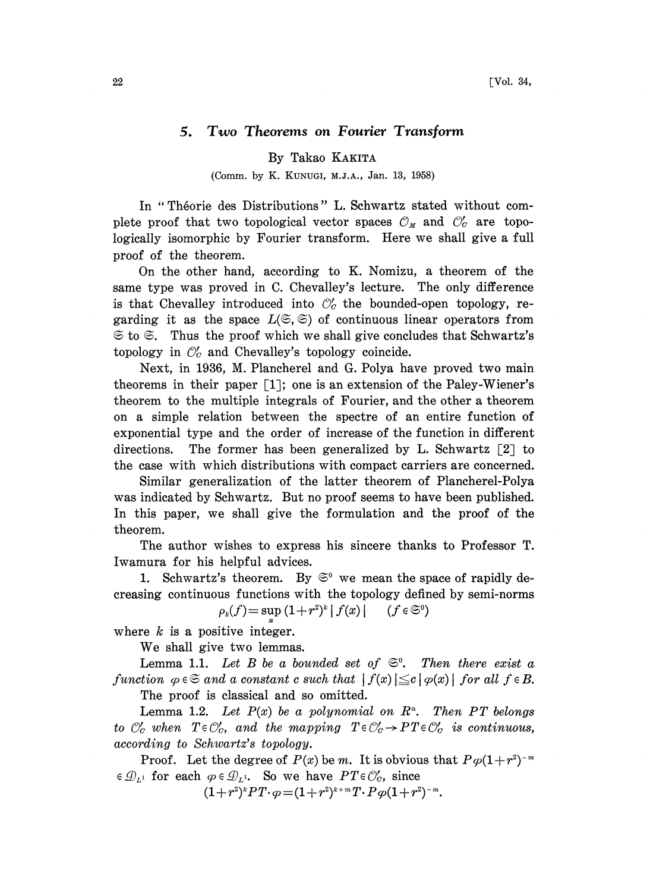## 5. Two Theorems on Fourier Transform

By Takao KAKITA

(Comm. by K. KUNUGI, M.J.A., Jan. 13, 1958)

In "Théorie des Distributions" L. Schwartz stated without complete proof that two topological vector spaces  $\mathcal{O}_M$  and  $\mathcal{O}'_C$  are topologically isomorphic by Fourier transform. Here we shall give a full proof of the theorem.

On the other hand, according to K. Nomizu, a theorem of the same type was proved in C. Chevalley's lecture. The only difference is that Chevalley introduced into  $\mathcal{O}'_c$  the bounded-open topology, regarding it as the space  $L(\mathfrak{S}, \mathfrak{S})$  of continuous linear operators from  $\Im$  to  $\Im$ . Thus the proof which we shall give concludes that Schwartz's topology in  $\mathcal{O}'_c$  and Chevalley's topology coincide.

Next, in 1936, M. Plancherel and G. Polya have proved two main theorems in their paper  $\lceil 1 \rceil$ ; one is an extension of the Paley-Wiener's theorem to the multiple integrals of Fourier, and the other a theorem on a simple relation between the spectre of an entire function of exponential type and the order of increase of the function in different directions. The former has been generalized by L. Schwartz  $\lceil 2 \rceil$  to the case with which distributions with compact carriers are concerned.

Similar generalization of the latter theorem of Plancherel-Polya was indicated by Schwartz. But no proof seems to have been published. In this paper, we shall give the formulation and the proof of the theorem.

The author wishes to express his sincere thanks to Professor T. Iwamura for his helpful advices.

1. Schwartz's theorem. By  $\mathfrak{S}^0$  we mean the space of rapidly decreasing continuous functions with the topology defined by semi-norms  $\rho_k(f) = \sup_x (1 + r^2)^k |f(x)| \quad (f \in \mathfrak{S}^0)$ 

where  $k$  is a positive integer.

We shall give two lemmas.

Lemma 1.1. Let B be a bounded set of  $\mathfrak{S}^0$ . Then there exist a function  $\varphi \in \mathfrak{S}$  and a constant c such that  $|f(x)| \leq c |\varphi(x)|$  for all  $f \in B$ .

The proof is classical and so omitted.

Lemma 1.2. Let  $P(x)$  be a polynomial on  $R<sup>n</sup>$ . Then PT belongs to  $\mathcal{O}'_c$  when  $T \in \mathcal{O}'_c$ , and the mapping  $T \in \mathcal{O}'_c \rightarrow PT \in \mathcal{O}'_c$  is continuous, according to Schwartz's topology.

Proof. Let the degree of  $P(x)$  be m. It is obvious that  $P\varphi(1+r^2)^{-m}$  $\in \mathcal{D}_{L^1}$  for each  $\varphi \in \mathcal{D}_{L^1}$ . So we have  $PT \in \mathcal{O}'_C$ , since

 $(1+r^2)^kPT\cdot \varphi=(1+r^2)^{k+m}T\cdot P\varphi(1+r^2)^{-m}.$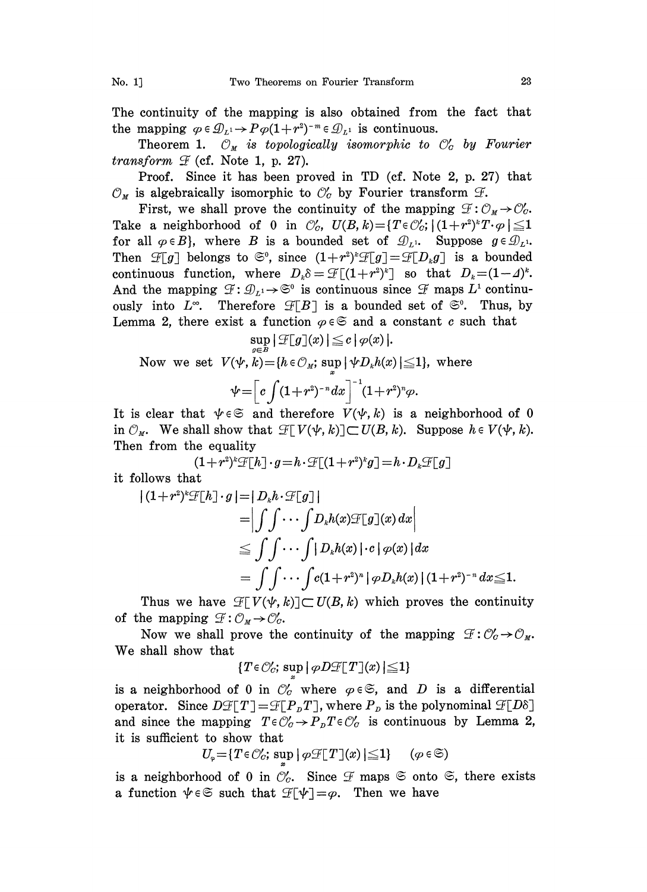The continuity of the mapping is also obtained from the fact that the mapping  $\varphi \in \mathcal{D}_{L^1} \to P\varphi(1 + r^2)^{-m} \in \mathcal{D}_{L^1}$  is continuous.

Theorem 1.  $\mathcal{O}_M$  is topologically isomorphic to  $\mathcal{O}'_G$  by Fourier transform  $\mathcal F$  (cf. Note 1, p. 27).

Proof. Since it has been proved in TD (cf. Note 2, p. 27) that  $\mathcal{O}_M$  is algebraically isomorphic to  $\mathcal{O}'_C$  by Fourier transform  $\mathcal{F}$ .

First, we shall prove the continuity of the mapping  $\mathcal{F}: \mathcal{O}_M \to \mathcal{O}_C$ .<br>Take a neighborhood of 0 in  $\mathcal{O}'_C$ ,  $U(B, k) = \{T \in \mathcal{O}'_C; |(1+r^2)^k T \cdot \varphi| \leq 1\}$ First, we shall prove the continuity of the mapping  $\mathcal{F}: \mathcal{O}_M \rightarrow \mathcal{O}'_C$ . Take a neighborhood of 0 in  $\mathbb{C}_G$ ,  $U(B, k) = \{T \in \mathbb{C}_G : |(1 + r^2)^k T \cdot \varphi| \leq 1\}$ <br>for all  $\varphi \in B$ , where B is a bounded set of  $\mathcal{D}_L$ . Suppose  $g \in \mathcal{D}_L$ . for all  $\varphi \in B$ }, where *B* is a bounded set of  $\mathcal{D}_L$ <sup>1</sup>. Suppose  $g \in \mathcal{D}_L$ <sup>1</sup>.<br>Then  $\mathcal{F}[g]$  belongs to  $\mathfrak{S}^0$ , since  $(1+r^2)^k \mathcal{F}[g] = \mathcal{F}[D_k g]$  is a bounded continuous function, where  $D_k \delta = \mathcal{F}[(1+r^2)^k]$  so that  $D_k = (1-4)^k$ . for all  $\varphi \in B$ }, where *B* is a bounded set of  $\mathcal{D}_L$ . Suppose  $g \in \mathcal{D}_L$ .<br>Then  $\mathcal{F}[g]$  belongs to  $\mathfrak{S}^0$ , since  $(1+r^2)^k \mathcal{F}[g] = \mathcal{F}[D_k g]$  is a bounded<br>continuous function, where  $D_k \delta = \mathcal{F}[(1+r^2)^k]$  so And the mapping  $\mathcal{F}: \mathcal{D}_{L^1} \to \mathfrak{S}^0$  is continuous since  $\mathcal{F}$  maps  $L^1$  continuously into  $L^{\infty}$ . Therefore  $\mathcal{F}[B]$  is a bounded set of  $\mathfrak{S}^0$ . Thus, by Lemma 2, there exist a function  $\varphi \in \mathfrak{S}$  and a constant c such that

$$
\sup_{x\in\mathbb{R}}|\mathcal{F}[g](x)| \leq c |\varphi(x)|.
$$

Now we set  $V(\psi, k) = \{h \in \mathcal{O}_M; \sup |\psi D_k h(x)| \leq 1\}$ , where

$$
\psi = \left[ c \int (1+r^2)^{-n} dx \right]^{-1} (1+r^2)^n \varphi.
$$

It is clear that  $\psi \in \mathfrak{S}$  and therefore  $V(\psi, k)$  is a neighborhood of 0 in  $\mathcal{O}_M$ . We shall show that  $\mathcal{F}[V(\psi, k)] \subset U(B, k)$ . Suppose  $h \in V(\psi, k)$ . Then from the equality

 $(1+r^2)^k \mathcal{F}[h] \cdot g=h \cdot \mathcal{F}[(1+r^2)^k g] = h \cdot D_k \mathcal{F}[g]$ it follows that

$$
\begin{aligned}\n\left| (1+r^2)^k \mathcal{F}[h] \cdot g \right| &= \left| D_k h \cdot \mathcal{F}[g] \right| \\
&= \left| \int \int \cdots \int D_k h(x) \mathcal{F}[g](x) \, dx \right| \\
&\leq \int \int \cdots \int |D_k h(x)| \cdot c \left| \varphi(x) \right| dx \\
&= \int \int \cdots \int c (1+r^2)^n \left| \varphi D_k h(x) \right| (1+r^2)^{-n} dx \leq 1.\n\end{aligned}
$$

Thus we have  $\mathcal{F}[V(\psi, k)] \subset U(B, k)$  which proves the continuity of the mapping  $\mathcal{F}: \mathcal{O}_M \rightarrow \mathcal{O}'_C$ .

he mapping  $\mathcal{L}: \mathcal{O}_M \to \mathcal{O}_G$ .<br>Now we shall prove the continuity of the mapping We shall show that

$$
\{T\!\in\!\mathcal{O}_C';\,\sup\|\,\varphi D\mathcal{F}\!\!\upharpoonright\!\! T\;\!\,]\!(x)\!\mid\leq\!\!1\}
$$

is a neighborhood of 0 in  $\mathcal{O}'_C$  where  $\varphi \in \mathfrak{S}$ , and D is a differential is a neighborhood of 0 in  $\mathcal{O}_C$  where  $\varphi \in \mathfrak{S}$ , and D is a differentiation. Since  $D\mathcal{F}[T] = \mathcal{F}[P_pT]$ , where  $P_p$  is the polynominal and given the meaning  $T \in \mathcal{C}'$  is  $R \in \mathcal{C}'$  is continuous by Le operator. Since  $D\mathcal{F}[T] = \mathcal{F}[P_D T]$ , where  $P_D$  is the polynominal  $\mathcal{F}[I]$ <br>and since the mapping  $T \in \mathcal{O}'_C \to P_D T \in \mathcal{O}'_C$  is continuous by Lemma<br>it is sufficient to show that it is sufficient to show that

$$
U_{\varphi} = \{ T \in \mathcal{O}'_C; \, \sup \mid \varphi \mathcal{F}[T](x) \mid \leq 1 \} \qquad (\varphi \in \mathfrak{S})
$$

is a neighborhood of 0 in  $\mathcal{O}_c$ . Since  $\mathcal F$  maps  $\mathfrak{S}$  onto  $\mathfrak{S}$ , there exists a function  $\psi \in \mathfrak{S}$  such that  $\mathcal F[\psi] = \varphi$ . Then we have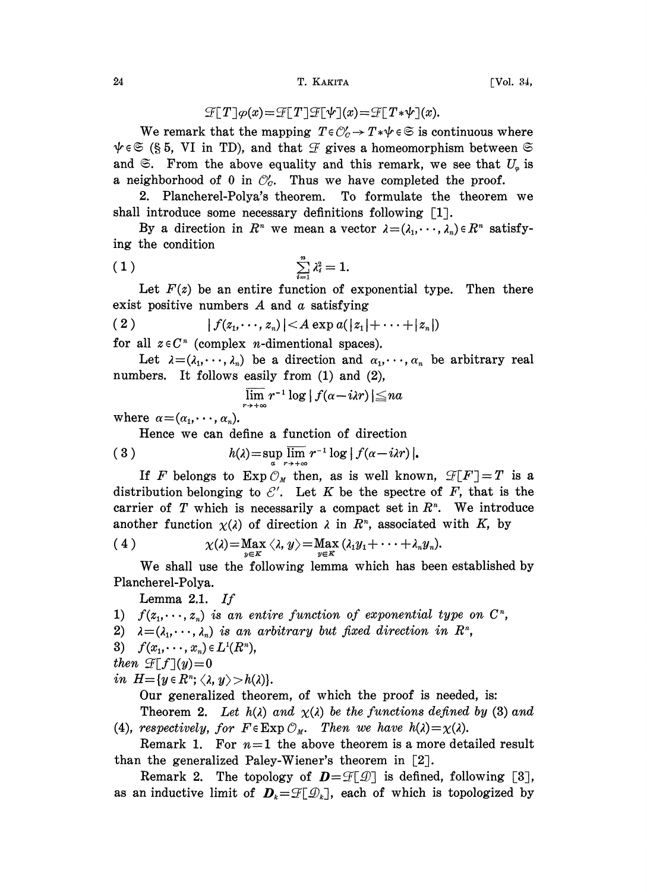## 24 T. KAKITA [Vol. 34,

$$
\mathcal{F}[T]\varphi(x) = \mathcal{F}[T]\mathcal{F}[\psi](x) = \mathcal{F}[T*\psi](x).
$$

We remark that the mapping  $T \in \mathcal{O}'_c \to T^* \psi \in \mathfrak{S}$  is continuous where  $\psi \in \mathfrak{S}$  (§ 5, VI in TD), and that  $\mathcal F$  gives a homeomorphism between  $\mathfrak{S}$ and  $\mathfrak{S}$ . From the above equality and this remark, we see that  $U_{\varphi}$  is a neighborhood of 0 in  $\mathcal{O}_a$ . Thus we have completed the proof.

2. Plancherel-Polya's theorem. To formulate the theorem we shall introduce some necessary definitions following  $[1]$ .

By a direction in  $R^n$  we mean a vector  $\lambda = (\lambda_1, \dots, \lambda_n) \in R^n$  satisfy-

ing the condition  
(1) 
$$
\sum_{i=1}^{n} \lambda_i^2 = 1.
$$

Let  $F(z)$  be an entire function of exponential type. Then there exist positive numbers  $A$  and  $\alpha$  satisfying

(2) 
$$
|f(z_1, \dots, z_n)| < A \exp a(|z_1| + \dots + |z_n|)
$$

for all  $z \in C^n$  (complex *n*-dimentional spaces).

Let  $\lambda = (\lambda_1, \dots, \lambda_n)$  be a direction and  $\alpha_1, \dots, \alpha_n$  be arbitrary real numbers. It follows easily from (1) and (2),

 $\lim_{n \to +\infty} r^{-1} \log |f(\alpha - i\lambda r)| \leq n\alpha$ 

where  $\alpha = (\alpha_1, \dots, \alpha_n)$ .

Hence we can define a function of direction

(3)  $h(\lambda) = \sup_{\alpha} \lim_{r \to +\infty} r^{-1} \log |f(\alpha - i\lambda r)|$ <br>If E belengthe Eun  $\frac{\alpha}{\alpha}$  then existenell line

If F belongs to  $Exp \mathcal{O}_M$  then, as is well known,  $\mathcal{F}[F] = T$  is a distribution belonging to  $\mathcal{E}'$ . Let K be the spectre of F, that is the carrier of T which is necessarily a compact set in  $R<sup>n</sup>$ . We introduce

another function 
$$
\chi(\lambda)
$$
 of direction  $\lambda$  in  $R^n$ , associated with  $K$ , by  
\n(4)  $\chi(\lambda) = \max_{y \in K} \langle \lambda, y \rangle = \max_{y \in K} (\lambda_1 y_1 + \cdots + \lambda_n y_n).$ 

We shall use the following lemma whieh has been established by Planeherel-Polya.

Lemma 2.1.  $If$ 

- 1)  $f(z_1,\dots,z_n)$  is an entire function of exponential type on  $C^n$ ,
- 2)  $\lambda = (\lambda_1, \dots, \lambda_n)$  is an arbitrary but fixed direction in  $\mathbb{R}^n$ ,
- 3)  $f(x_1, \dots, x_n) \in L^1(R^n)$ ,

then 
$$
\mathcal{F}[f](y)=0
$$

in  $H=\{y\in R^n;\langle \lambda, y\rangle > h(\lambda)\}.$ 

Our generalized theorem, of which the proof is needed, is:

Theorem 2. Let  $h(\lambda)$  and  $\chi(\lambda)$  be the functions defined by (3) and (4), respectively, for  $F \in \operatorname{Exp} \mathcal{O}_M$ . Then we have  $h(\lambda) = \chi(\lambda)$ .

Remark 1. For  $n=1$  the above theorem is a more detailed result than the generalized Paley-Wiener's theorem in  $\lceil 2 \rceil$ .

Remark 2. The topology of  $\mathbf{D} = \mathcal{F}[\mathcal{D}]$  is defined, following [3], as an inductive limit of  $\mathbf{D}_k = \mathcal{F}[\mathcal{Q}_k]$ , each of which is topologized by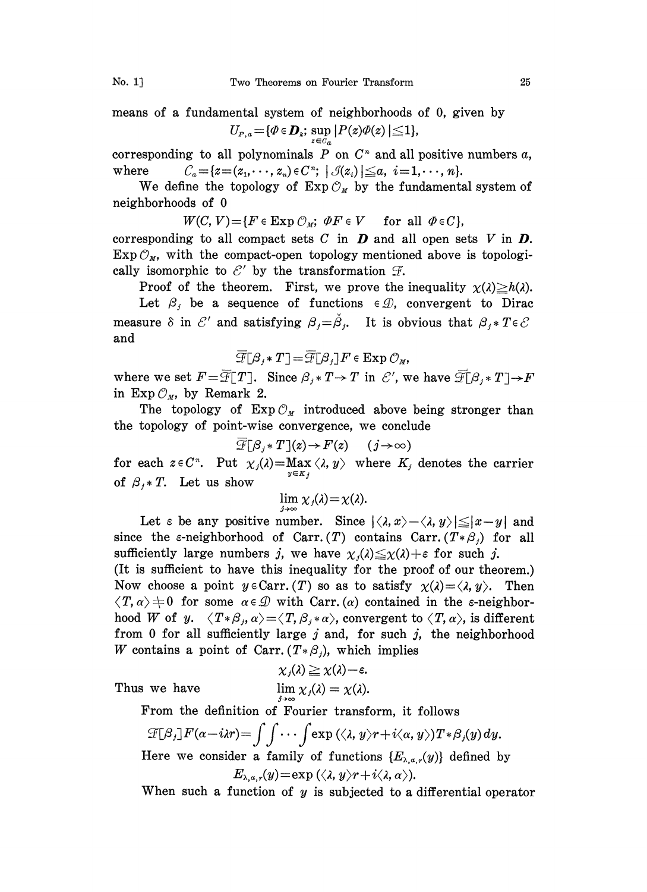means of a fundamental system of neighborhoods of 0, given by  $U_{P,a} = {\mathscr{P} \in {\boldsymbol{D}_k}; \, \sup_{z \in C_a} |P(z)\varPhi(z)| \leq 1},$ 

corresponding to all polynominals  $P$  on  $C<sup>n</sup>$  and all positive numbers  $a$ , where  $C_a = \{z = (z_1, \dots, z_n) \in C^n; \mid \mathcal{J}(z_i) \leq a, i = 1, \dots, n\}.$ 

We define the topology of  $Exp \mathcal{O}_M$  by the fundamental system of neighborhoods of 0

 $W(C, V) = \{F \in \operatorname{Exp} \mathcal{O}_M; \ \Phi F \in V \quad \text{ for all } \Phi \in C\},\$ 

corresponding to all compact sets C in  $\boldsymbol{D}$  and all open sets V in  $\boldsymbol{D}$ .<br>Exp  $\mathcal{O}_M$ , with the compact-open topology mentioned above is topologically isomorphic to  $\mathcal{E}'$  by the transformation  $\mathcal{F}$ .<br>Proof of the theorem. First, we prove the

Proof of the theorem. First, we prove the inequality  $\chi(\lambda) \geq h(\lambda)$ .

Let  $\beta_i$  be a sequence of functions  $\in \mathcal{D}$ , convergent to Dirac measure  $\delta$  in  $\mathcal{E}'$ <br>and and and satisfying  $\beta_j = \check{\beta}_j$ . It is obvious that  $\beta_j$ .

$$
\overline{\mathcal{F}}[\beta_j * T] = \overline{\mathcal{F}}[\beta_j] F \in \operatorname{Exp} \mathcal{O}_M,
$$

where we set  $F = \overline{\mathcal{F}}[T]$ . Since  $\beta_i * T \rightarrow T$  in  $\mathcal{E}'$ , we have  $\overline{\mathcal{F}}[\beta_i * T] \rightarrow F$ in  $Exp \mathcal{O}_M$ , by Remark 2.

The topology of  $Exp \mathcal{O}_M$  introduced above being stronger than the topology of point-wise convergence, we conclude

$$
\overline{\mathcal{F}}[\beta_j * T](z) \to F(z) \qquad (j \to \infty)
$$

for each  $z \in C^n$ . Put  $\chi_j(\lambda) = \max_{y \in K_j} \langle \lambda, y \rangle$  where  $K_j$  denotes the carrier of  $\beta_j * T$ . Let us show  $y \in K_j$ 

$$
\lim_{\lambda \to \infty} \chi_j(\lambda) = \chi(\lambda).
$$

Let  $\varepsilon$  be any positive number. Since  $|\langle \lambda, x \rangle - \langle \lambda, y \rangle| \leq |x-y|$  and since the e-neighborhood of Carr. (T) contains Carr.  $(T * \beta_i)$  for all sufficiently large numbers j, we have  $\chi_i(\lambda) \leq \chi(\lambda) + \varepsilon$  for such j.

(It is sufficient to have this inequality for the proof of our theorem.) Now choose a point  $y \in \text{Carr.} (T)$  so as to satisfy  $\chi(\lambda) = \langle \lambda, y \rangle$ . Then  $\langle T, \alpha \rangle \neq 0$  for some  $\alpha \in \mathcal{D}$  with Carr. (a) contained in the *s*-neighborhood W of y.  $\langle T * \beta_j, \alpha \rangle = \langle T, \beta_j * \alpha \rangle$ , convergent to  $\langle T, \alpha \rangle$ , is different from 0 for all sufficiently large  $j$  and, for such  $j$ , the neighborhood W contains a point of Carr.  $(T * \beta_j)$ , which implies

$$
\chi_j(\lambda) \geq \chi(\lambda) - \varepsilon.
$$
  

$$
\lim \chi_j(\lambda) = \chi(\lambda)
$$

Thus we have

From the definition of Fourier transform, it follows

$$
\mathcal{F}[\beta_j]F(\alpha-i\lambda r) = \int \int \cdots \int \exp(\langle \lambda, y \rangle r + i \langle \alpha, y \rangle) T * \beta_j(y) dy.
$$
  
Here we consider a family of functions  $\{E_{\lambda, \alpha, r}(y)\}$  defined by

 $E_{\lambda,\alpha,r}(y) = \exp (\langle \lambda, y \rangle r + i \langle \lambda, \alpha \rangle).$ 

When such a function of  $y$  is subjected to a differential operator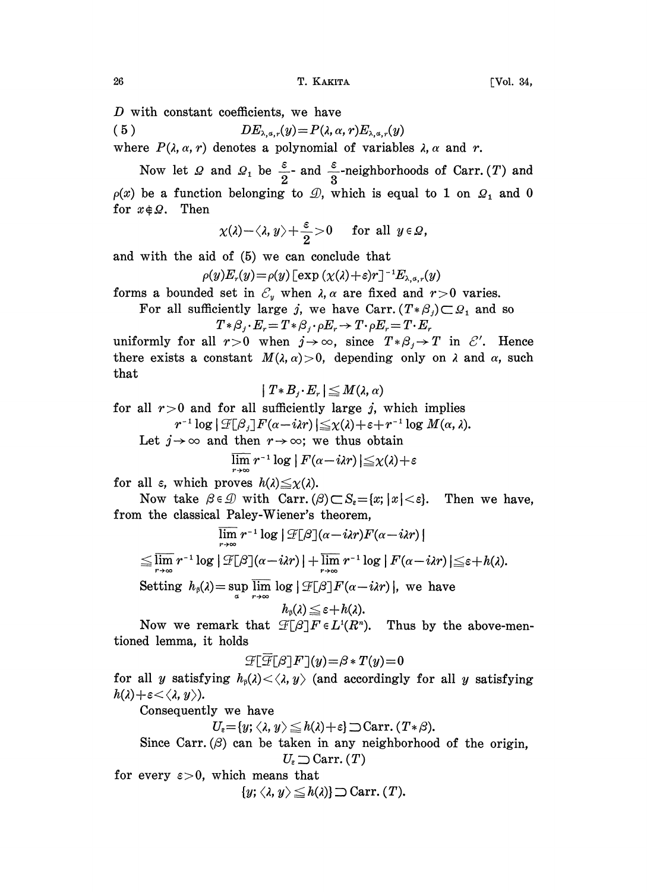D with constant coefficients, we have

(5) 
$$
DE_{\lambda,a,r}(y) = P(\lambda,\alpha,r)E_{\lambda,a,r}(y)
$$

where  $P(\lambda, \alpha, r)$  denotes a polynomial of variables  $\lambda, \alpha$  and r.

Now let  $\Omega$  and  $\Omega_1$  be  $\frac{\varepsilon}{2}$ - and  $\frac{\varepsilon}{3}$ -neighborhoods of Carr. (*T*) and  $p(x)$  be a function belonging to  $\mathcal{D}$ , which is equal to 1 on  $\mathcal{D}_1$  and 0 for  $x \notin \Omega$ . Then

$$
\chi(\lambda)-\langle \lambda, y\rangle+\frac{\varepsilon}{2}>0 \quad \text{ for all } y\in\Omega,
$$

and with the aid of (5) we can conclude that

 $\rho(y)E_r(y) = \rho(y) \left[\exp\left(\chi(\lambda)+\varepsilon\right) r\right]^{-1} E_{\lambda,\alpha,r}(y)$ 

forms a bounded set in  $\mathcal{E}_y$  when  $\lambda$ ,  $\alpha$  are fixed and  $r>0$  varies.

For all sufficiently large j, we have Carr.  $(T * \beta_j) \subset \Omega_1$  and so  $T \ast \beta_j \cdot E_r = T \ast \beta_j \cdot \rho E_r \rightarrow T \cdot \rho E_r = T \cdot E_r$ 

uniformly for all  $r>0$  when  $j \rightarrow \infty$ , since  $T * \beta_i \rightarrow T$  in  $\mathcal{E}'$ . Hence there exists a constant  $M(\lambda, \alpha) > 0$ , depending only on  $\lambda$  and  $\alpha$ , such that

$$
| T * B_{j} \cdot E_r | \leq M(\lambda, \alpha)
$$

for all  $r>0$  and for all sufficiently large j, which implies<br>  $r^{-1} \log |\mathcal{F}[\beta_j] F(\alpha - i\lambda r)| \leq \chi(\lambda) + \varepsilon + r^{-1} \log M(\alpha, \lambda)$ <br>
Let  $j \to \infty$  and then  $r \to \infty$ ; we thus obtain

 $r^{-1} \log |\mathcal{F}[\beta_j] F(\alpha - i\lambda r)| \leq \chi(\lambda) + \varepsilon + r^{-1} \log M(\alpha, \lambda).$ <br>  $\to \infty$  and then  $r \to \infty$ ; we thus obtain<br>  $\lim_{r \to \infty} r^{-1} \log |F(\alpha - i\lambda r)| \leq \chi(\lambda) + \varepsilon$ 

$$
\lim r^{-1}\log|F(\alpha-i\lambda r)|\leq \chi(\lambda)+\varepsilon
$$

for all  $\varepsilon$ , which proves  $h(\lambda) \leq \chi(\lambda)$ .

Now take  $\beta \in \mathcal{D}$  with Carr.  $(\beta) \subset S_{\epsilon} = \{x; |x| < \epsilon\}$ . Then we have, from the classical Paley-Wiener's theorem,

$$
\lim_{r \to \infty} r^{-1} \log |\mathcal{F}[\beta](\alpha - i\lambda r) F(\alpha - i\lambda r)|
$$
  
\n
$$
\leq \lim_{r \to \infty} r^{-1} \log |\mathcal{F}[\beta](\alpha - i\lambda r)| + \lim_{r \to \infty} r^{-1} \log |F(\alpha - i\lambda r)| \leq \varepsilon + h(\lambda).
$$
  
\nSetting  $h_\beta(\lambda) = \sup_{\alpha \in \mathbb{N}} \lim_{\alpha \to \infty} \log |\mathcal{F}[\beta] F(\alpha - i\lambda r)|$ , we have

$$
h_{\scriptscriptstyle\beta}(\lambda)\!\leq\!\varepsilon\!+\!h(\lambda).
$$

Now we remark that  $\mathcal{F}[\beta]F \in L^1(R^n)$ . Thus by the above-mentioned lemma, it holds

$$
\mathcal{F}[\overline{\mathcal{F}}[\beta]F](y){=}\beta*T(y){=}0
$$

for all y satisfying  $h_0(\lambda) < \langle \lambda, y \rangle$  (and accordingly for all y satisfying  $h(\lambda)+\varepsilon<\langle \lambda, y \rangle$ ).

Consequently we have

$$
U_{\varepsilon} = \{y; \langle \lambda, y \rangle \leq h(\lambda) + \varepsilon\} \supset \text{Carr.} (T * \beta).
$$

Since Carr.  $(\beta)$  can be taken in any neighborhood of the origin.  $U_{\varepsilon} \supseteq \text{Carr.} (T)$ 

for every  $\varepsilon > 0$ , which means that

 $\{y; \langle \lambda, y \rangle \leq h(\lambda)\} \supseteq \text{Carr.} (T).$